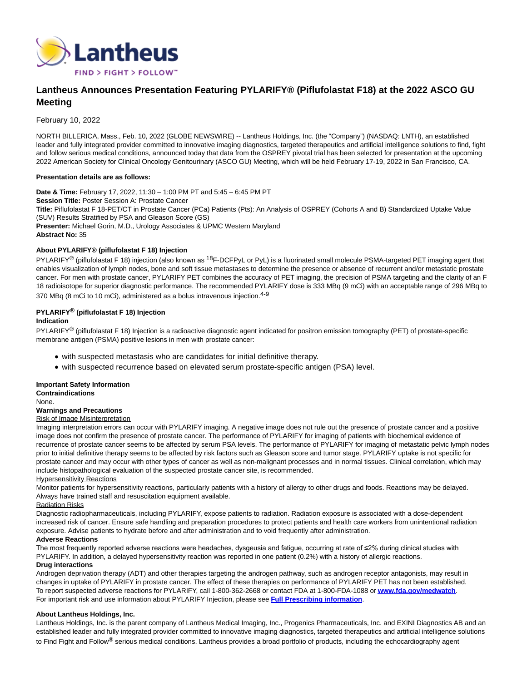

# **Lantheus Announces Presentation Featuring PYLARIFY® (Piflufolastat F18) at the 2022 ASCO GU Meeting**

February 10, 2022

NORTH BILLERICA, Mass., Feb. 10, 2022 (GLOBE NEWSWIRE) -- Lantheus Holdings, Inc. (the "Company") (NASDAQ: LNTH), an established leader and fully integrated provider committed to innovative imaging diagnostics, targeted therapeutics and artificial intelligence solutions to find, fight and follow serious medical conditions, announced today that data from the OSPREY pivotal trial has been selected for presentation at the upcoming 2022 American Society for Clinical Oncology Genitourinary (ASCO GU) Meeting, which will be held February 17-19, 2022 in San Francisco, CA.

#### **Presentation details are as follows:**

**Date & Time:** February 17, 2022, 11:30 – 1:00 PM PT and 5:45 – 6:45 PM PT **Session Title:** Poster Session A: Prostate Cancer **Title:** Piflufolastat F 18-PET/CT in Prostate Cancer (PCa) Patients (Pts): An Analysis of OSPREY (Cohorts A and B) Standardized Uptake Value (SUV) Results Stratified by PSA and Gleason Score (GS) **Presenter:** Michael Gorin, M.D., Urology Associates & UPMC Western Maryland **Abstract No:** 35

# **About PYLARIFY® (piflufolastat F 18) Injection**

PYLARIFY<sup>®</sup> (piflufolastat F 18) injection (also known as <sup>18</sup>F-DCFPyL or PyL) is a fluorinated small molecule PSMA-targeted PET imaging agent that enables visualization of lymph nodes, bone and soft tissue metastases to determine the presence or absence of recurrent and/or metastatic prostate cancer. For men with prostate cancer, PYLARIFY PET combines the accuracy of PET imaging, the precision of PSMA targeting and the clarity of an F 18 radioisotope for superior diagnostic performance. The recommended PYLARIFY dose is 333 MBq (9 mCi) with an acceptable range of 296 MBq to 370 MBq (8 mCi to 10 mCi), administered as a bolus intravenous injection.<sup>4-9</sup>

# **PYLARIFY® (piflufolastat F 18) Injection**

## **Indication**

PYLARIFY<sup>®</sup> (piflufolastat F 18) Injection is a radioactive diagnostic agent indicated for positron emission tomography (PET) of prostate-specific membrane antigen (PSMA) positive lesions in men with prostate cancer:

- with suspected metastasis who are candidates for initial definitive therapy.
- with suspected recurrence based on elevated serum prostate-specific antigen (PSA) level.

#### **Important Safety Information Contraindications**

None.

# **Warnings and Precautions**

# Risk of Image Misinterpretation

Imaging interpretation errors can occur with PYLARIFY imaging. A negative image does not rule out the presence of prostate cancer and a positive image does not confirm the presence of prostate cancer. The performance of PYLARIFY for imaging of patients with biochemical evidence of recurrence of prostate cancer seems to be affected by serum PSA levels. The performance of PYLARIFY for imaging of metastatic pelvic lymph nodes prior to initial definitive therapy seems to be affected by risk factors such as Gleason score and tumor stage. PYLARIFY uptake is not specific for prostate cancer and may occur with other types of cancer as well as non-malignant processes and in normal tissues. Clinical correlation, which may include histopathological evaluation of the suspected prostate cancer site, is recommended.

#### Hypersensitivity Reactions

Monitor patients for hypersensitivity reactions, particularly patients with a history of allergy to other drugs and foods. Reactions may be delayed. Always have trained staff and resuscitation equipment available.

## Radiation Risks

Diagnostic radiopharmaceuticals, including PYLARIFY, expose patients to radiation. Radiation exposure is associated with a dose-dependent increased risk of cancer. Ensure safe handling and preparation procedures to protect patients and health care workers from unintentional radiation exposure. Advise patients to hydrate before and after administration and to void frequently after administration.

## **Adverse Reactions**

The most frequently reported adverse reactions were headaches, dysgeusia and fatigue, occurring at rate of ≤2% during clinical studies with PYLARIFY. In addition, a delayed hypersensitivity reaction was reported in one patient (0.2%) with a history of allergic reactions.

## **Drug interactions**

Androgen deprivation therapy (ADT) and other therapies targeting the androgen pathway, such as androgen receptor antagonists, may result in changes in uptake of PYLARIFY in prostate cancer. The effect of these therapies on performance of PYLARIFY PET has not been established. To report suspected adverse reactions for PYLARIFY, call 1-800-362-2668 or contact FDA at 1-800-FDA-1088 or **[www.fda.gov/medwatch](https://www.globenewswire.com/Tracker?data=HqutUoQbP4vzYUtcrAI2vBcKvRa1PgplOl1cYsIltYJChObhyucMTOSx4P6Dz5KM4zxAJ0o5x5r-30yLJyl4QpLZ3u0OkLwinXdMR7rWJDHXdtoRe5ns-s1-CymCNMy_Yvi0H6GDMY7q2dpJYFT9DtpVjht0P5eob7MCUGAPGefGWcJLWfiNJ6tWp04mLxlM)**. For important risk and use information about PYLARIFY Injection, please see **[Full Prescribing information](https://www.globenewswire.com/Tracker?data=Hjk1dOHrjWvWQL4bPP-8Lf4MpTIFIeryQcAxFuKxrpNZMG-Thsr1w4pxP-hw3uE_tBd68kF_Hzlz8Fto058xZmewAWuBl02UU5cuqpOoH1_5xYDkexTpyo_fvJkZ0JdU6et472z0iFN8DDmvq2iepV11QLWX-A7cMDx_8dtFAkc=)**.

## **About Lantheus Holdings, Inc.**

Lantheus Holdings, Inc. is the parent company of Lantheus Medical Imaging, Inc., Progenics Pharmaceuticals, Inc. and EXINI Diagnostics AB and an established leader and fully integrated provider committed to innovative imaging diagnostics, targeted therapeutics and artificial intelligence solutions to Find Fight and Follow<sup>®</sup> serious medical conditions. Lantheus provides a broad portfolio of products, including the echocardiography agent